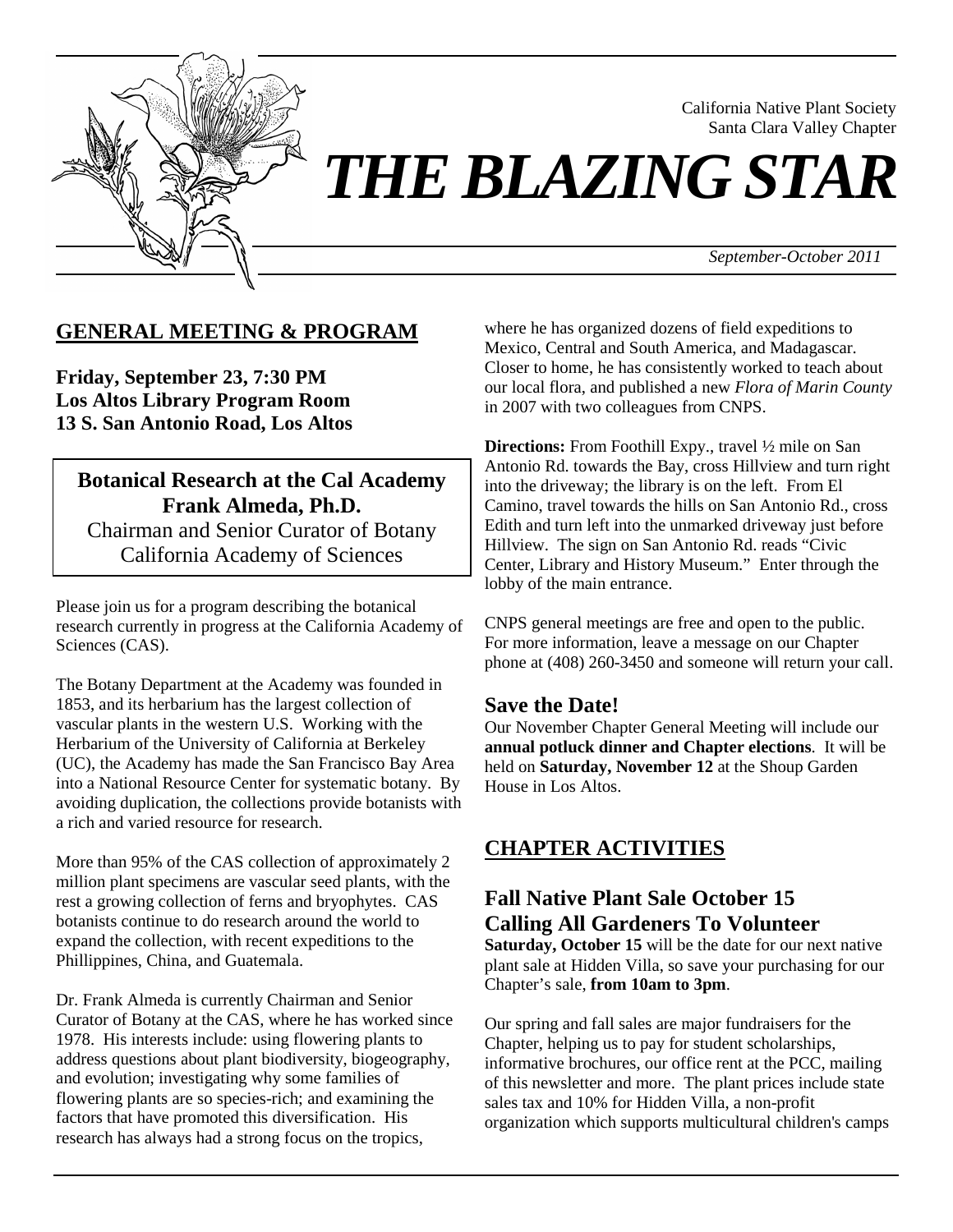

California Native Plant Society Santa Clara Valley Chapter

# *THE BLAZING STAR*

*September-October 2011*

## **GENERAL MEETING & PROGRAM**

**Friday, September 23, 7:30 PM Los Altos Library Program Room 13 S. San Antonio Road, Los Altos** 

#### **Botanical Research at the Cal Academy Frank Almeda, Ph.D.**

Chairman and Senior Curator of Botany California Academy of Sciences

Please join us for a program describing the botanical research currently in progress at the California Academy of Sciences (CAS).

The Botany Department at the Academy was founded in 1853, and its herbarium has the largest collection of vascular plants in the western U.S. Working with the Herbarium of the University of California at Berkeley (UC), the Academy has made the San Francisco Bay Area into a National Resource Center for systematic botany. By avoiding duplication, the collections provide botanists with a rich and varied resource for research.

More than 95% of the CAS collection of approximately 2 million plant specimens are vascular seed plants, with the rest a growing collection of ferns and bryophytes. CAS botanists continue to do research around the world to expand the collection, with recent expeditions to the Phillippines, China, and Guatemala.

Dr. Frank Almeda is currently Chairman and Senior Curator of Botany at the CAS, where he has worked since 1978. His interests include: using flowering plants to address questions about plant biodiversity, biogeography, and evolution; investigating why some families of flowering plants are so species-rich; and examining the factors that have promoted this diversification. His research has always had a strong focus on the tropics,

where he has organized dozens of field expeditions to Mexico, Central and South America, and Madagascar. Closer to home, he has consistently worked to teach about our local flora, and published a new *Flora of Marin County* in 2007 with two colleagues from CNPS.

**Directions:** From Foothill Expy., travel  $\frac{1}{2}$  mile on San Antonio Rd. towards the Bay, cross Hillview and turn right into the driveway; the library is on the left. From El Camino, travel towards the hills on San Antonio Rd., cross Edith and turn left into the unmarked driveway just before Hillview. The sign on San Antonio Rd. reads "Civic Center, Library and History Museum." Enter through the lobby of the main entrance.

CNPS general meetings are free and open to the public. For more information, leave a message on our Chapter phone at (408) 260-3450 and someone will return your call.

#### **Save the Date!**

Our November Chapter General Meeting will include our **annual potluck dinner and Chapter elections**. It will be held on **Saturday, November 12** at the Shoup Garden House in Los Altos.

## **CHAPTER ACTIVITIES**

## **Fall Native Plant Sale October 15 Calling All Gardeners To Volunteer**

**Saturday, October 15** will be the date for our next native plant sale at Hidden Villa, so save your purchasing for our Chapter's sale, **from 10am to 3pm**.

Our spring and fall sales are major fundraisers for the Chapter, helping us to pay for student scholarships, informative brochures, our office rent at the PCC, mailing of this newsletter and more. The plant prices include state sales tax and 10% for Hidden Villa, a non-profit organization which supports multicultural children's camps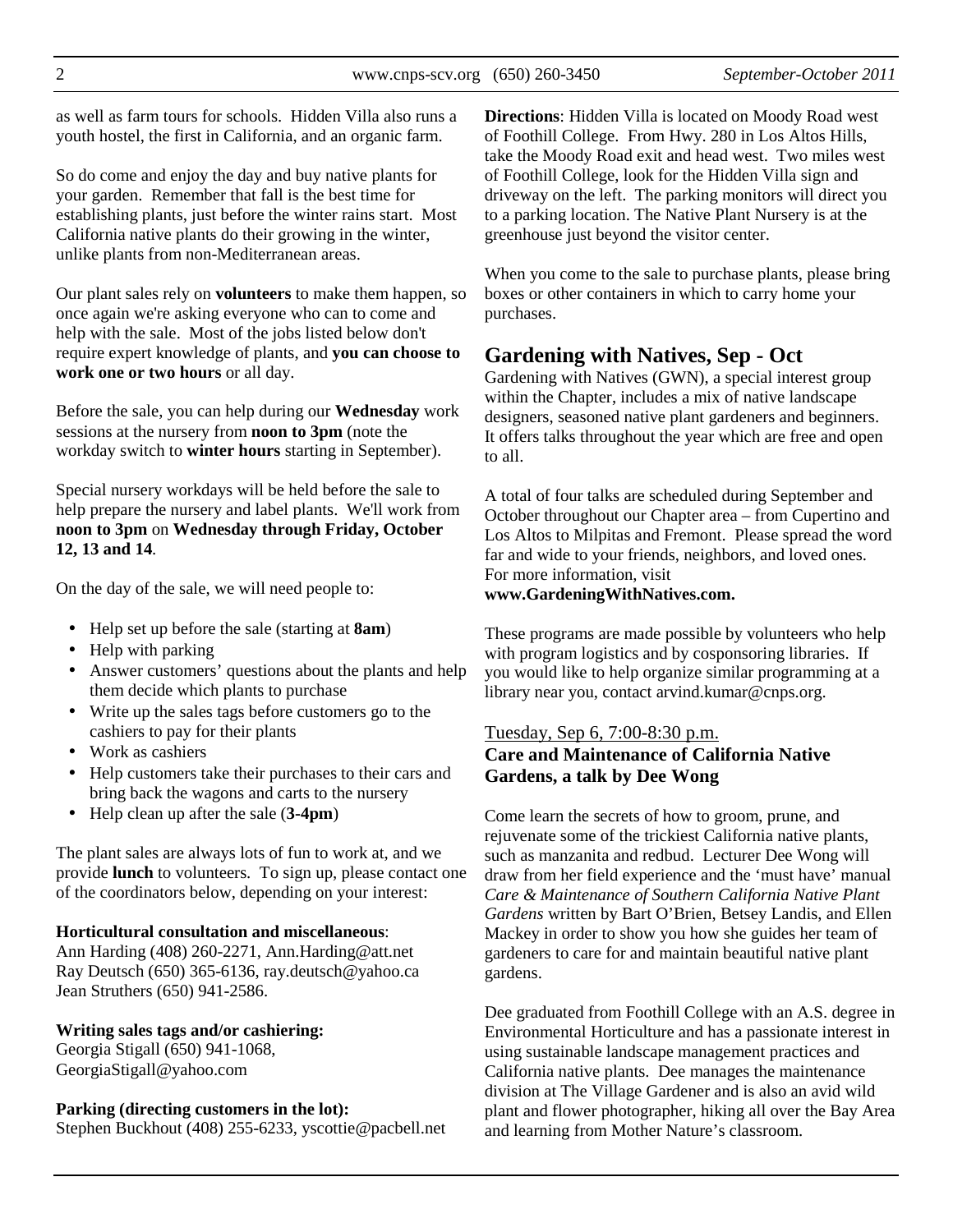as well as farm tours for schools. Hidden Villa also runs a youth hostel, the first in California, and an organic farm.

So do come and enjoy the day and buy native plants for your garden. Remember that fall is the best time for establishing plants, just before the winter rains start. Most California native plants do their growing in the winter, unlike plants from non-Mediterranean areas.

Our plant sales rely on **volunteers** to make them happen, so once again we're asking everyone who can to come and help with the sale. Most of the jobs listed below don't require expert knowledge of plants, and **you can choose to work one or two hours** or all day.

Before the sale, you can help during our **Wednesday** work sessions at the nursery from **noon to 3pm** (note the workday switch to **winter hours** starting in September).

Special nursery workdays will be held before the sale to help prepare the nursery and label plants. We'll work from **noon to 3pm** on **Wednesday through Friday, October 12, 13 and 14**.

On the day of the sale, we will need people to:

- Help set up before the sale (starting at **8am**)
- Help with parking
- Answer customers' questions about the plants and help them decide which plants to purchase
- Write up the sales tags before customers go to the cashiers to pay for their plants
- Work as cashiers
- Help customers take their purchases to their cars and bring back the wagons and carts to the nursery
- Help clean up after the sale (**3-4pm**)

The plant sales are always lots of fun to work at, and we provide **lunch** to volunteers. To sign up, please contact one of the coordinators below, depending on your interest:

#### **Horticultural consultation and miscellaneous**:

Ann Harding (408) 260-2271, Ann.Harding@att.net Ray Deutsch (650) 365-6136, ray.deutsch@yahoo.ca Jean Struthers (650) 941-2586.

#### **Writing sales tags and/or cashiering:**

Georgia Stigall (650) 941-1068, GeorgiaStigall@yahoo.com

#### **Parking (directing customers in the lot):**

Stephen Buckhout (408) 255-6233, yscottie@pacbell.net

**Directions**: Hidden Villa is located on Moody Road west of Foothill College. From Hwy. 280 in Los Altos Hills, take the Moody Road exit and head west. Two miles west of Foothill College, look for the Hidden Villa sign and driveway on the left. The parking monitors will direct you to a parking location. The Native Plant Nursery is at the greenhouse just beyond the visitor center.

When you come to the sale to purchase plants, please bring boxes or other containers in which to carry home your purchases.

## **Gardening with Natives, Sep - Oct**

Gardening with Natives (GWN), a special interest group within the Chapter, includes a mix of native landscape designers, seasoned native plant gardeners and beginners. It offers talks throughout the year which are free and open to all.

A total of four talks are scheduled during September and October throughout our Chapter area – from Cupertino and Los Altos to Milpitas and Fremont. Please spread the word far and wide to your friends, neighbors, and loved ones. For more information, visit **www.GardeningWithNatives.com.**

These programs are made possible by volunteers who help with program logistics and by cosponsoring libraries. If you would like to help organize similar programming at a library near you, contact arvind.kumar@cnps.org.

#### Tuesday, Sep 6, 7:00-8:30 p.m. **Care and Maintenance of California Native Gardens, a talk by Dee Wong**

Come learn the secrets of how to groom, prune, and rejuvenate some of the trickiest California native plants, such as manzanita and redbud. Lecturer Dee Wong will draw from her field experience and the 'must have' manual *Care & Maintenance of Southern California Native Plant Gardens* written by Bart O'Brien, Betsey Landis, and Ellen Mackey in order to show you how she guides her team of gardeners to care for and maintain beautiful native plant gardens.

Dee graduated from Foothill College with an A.S. degree in Environmental Horticulture and has a passionate interest in using sustainable landscape management practices and California native plants. Dee manages the maintenance division at The Village Gardener and is also an avid wild plant and flower photographer, hiking all over the Bay Area and learning from Mother Nature's classroom.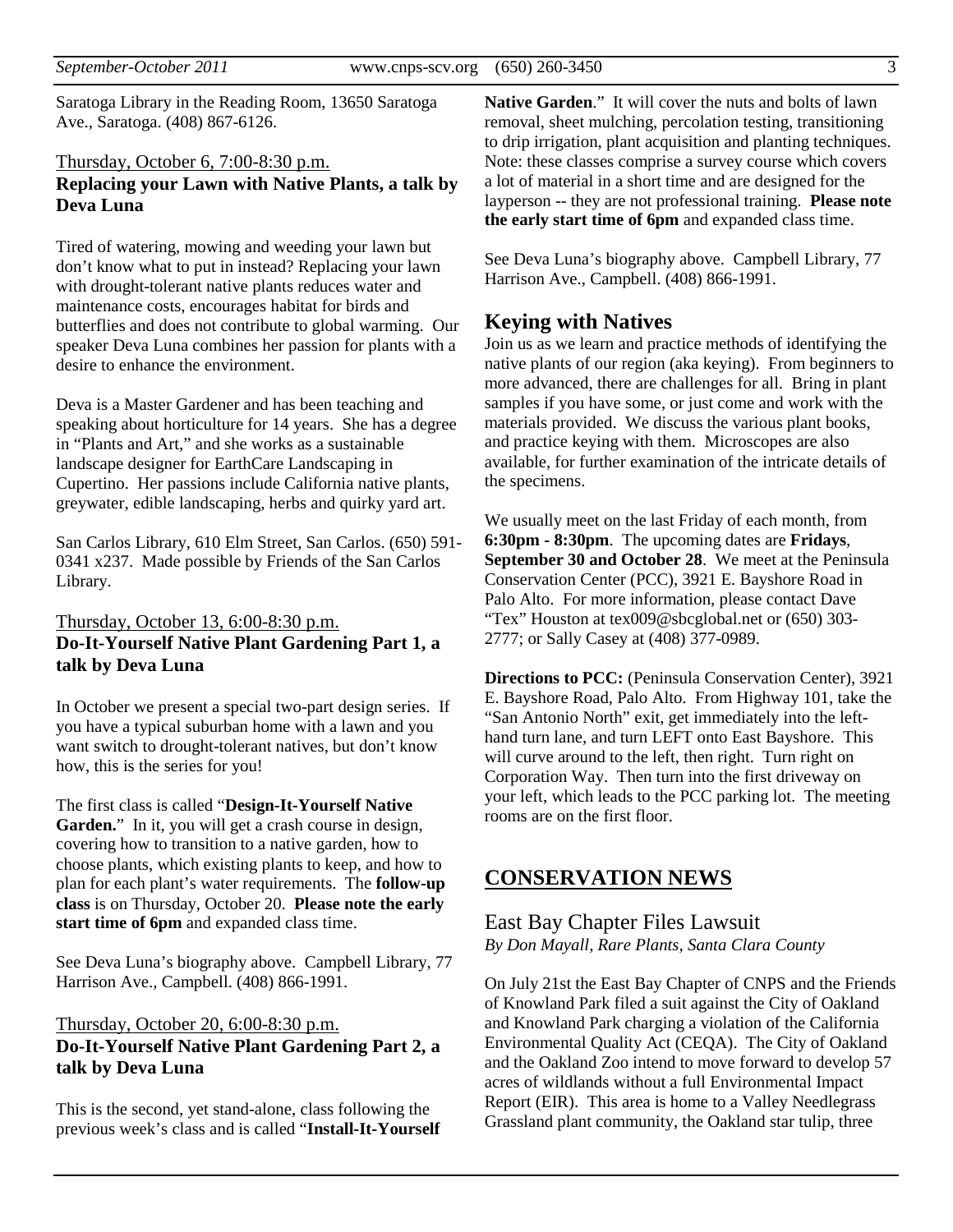Saratoga Library in the Reading Room, 13650 Saratoga Ave., Saratoga. (408) 867-6126.

#### Thursday, October 6, 7:00-8:30 p.m.

#### **Replacing your Lawn with Native Plants, a talk by Deva Luna**

Tired of watering, mowing and weeding your lawn but don't know what to put in instead? Replacing your lawn with drought-tolerant native plants reduces water and maintenance costs, encourages habitat for birds and butterflies and does not contribute to global warming. Our speaker Deva Luna combines her passion for plants with a desire to enhance the environment.

Deva is a Master Gardener and has been teaching and speaking about horticulture for 14 years. She has a degree in "Plants and Art," and she works as a sustainable landscape designer for EarthCare Landscaping in Cupertino. Her passions include California native plants, greywater, edible landscaping, herbs and quirky yard art.

San Carlos Library, 610 Elm Street, San Carlos. (650) 591- 0341 x237. Made possible by Friends of the San Carlos Library.

#### Thursday, October 13, 6:00-8:30 p.m. **Do-It-Yourself Native Plant Gardening Part 1, a talk by Deva Luna**

In October we present a special two-part design series. If you have a typical suburban home with a lawn and you want switch to drought-tolerant natives, but don't know how, this is the series for you!

The first class is called "**Design-It-Yourself Native**  Garden." In it, you will get a crash course in design, covering how to transition to a native garden, how to choose plants, which existing plants to keep, and how to plan for each plant's water requirements. The **follow-up class** is on Thursday, October 20. **Please note the early start time of 6pm** and expanded class time.

See Deva Luna's biography above. Campbell Library, 77 Harrison Ave., Campbell. (408) 866-1991.

#### Thursday, October 20, 6:00-8:30 p.m. **Do-It-Yourself Native Plant Gardening Part 2, a talk by Deva Luna**

This is the second, yet stand-alone, class following the previous week's class and is called "**Install-It-Yourself**  **Native Garden**." It will cover the nuts and bolts of lawn removal, sheet mulching, percolation testing, transitioning to drip irrigation, plant acquisition and planting techniques. Note: these classes comprise a survey course which covers a lot of material in a short time and are designed for the layperson -- they are not professional training. **Please note the early start time of 6pm** and expanded class time.

See Deva Luna's biography above. Campbell Library, 77 Harrison Ave., Campbell. (408) 866-1991.

#### **Keying with Natives**

Join us as we learn and practice methods of identifying the native plants of our region (aka keying). From beginners to more advanced, there are challenges for all. Bring in plant samples if you have some, or just come and work with the materials provided. We discuss the various plant books, and practice keying with them. Microscopes are also available, for further examination of the intricate details of the specimens.

We usually meet on the last Friday of each month, from **6:30pm - 8:30pm**. The upcoming dates are **Fridays**, **September 30 and October 28**. We meet at the Peninsula Conservation Center (PCC), 3921 E. Bayshore Road in Palo Alto. For more information, please contact Dave "Tex" Houston at tex009@sbcglobal.net or (650) 303- 2777; or Sally Casey at (408) 377-0989.

**Directions to PCC:** (Peninsula Conservation Center), 3921 E. Bayshore Road, Palo Alto. From Highway 101, take the "San Antonio North" exit, get immediately into the lefthand turn lane, and turn LEFT onto East Bayshore. This will curve around to the left, then right. Turn right on Corporation Way. Then turn into the first driveway on your left, which leads to the PCC parking lot. The meeting rooms are on the first floor.

## **CONSERVATION NEWS**

#### East Bay Chapter Files Lawsuit *By Don Mayall, Rare Plants, Santa Clara County*

On July 21st the East Bay Chapter of CNPS and the Friends of Knowland Park filed a suit against the City of Oakland and Knowland Park charging a violation of the California Environmental Quality Act (CEQA). The City of Oakland and the Oakland Zoo intend to move forward to develop 57 acres of wildlands without a full Environmental Impact Report (EIR). This area is home to a Valley Needlegrass Grassland plant community, the Oakland star tulip, three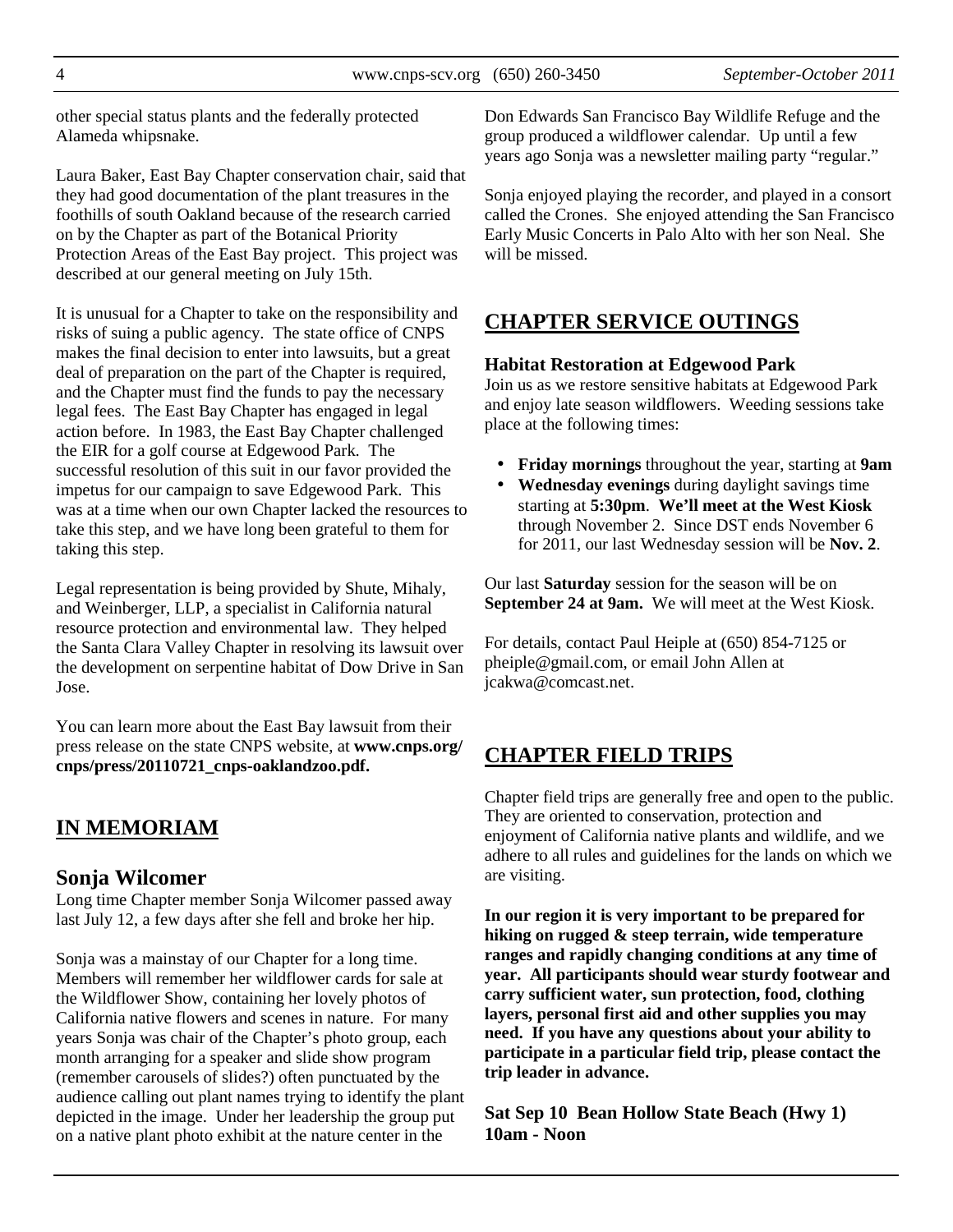other special status plants and the federally protected Alameda whipsnake.

Laura Baker, East Bay Chapter conservation chair, said that they had good documentation of the plant treasures in the foothills of south Oakland because of the research carried on by the Chapter as part of the Botanical Priority Protection Areas of the East Bay project. This project was described at our general meeting on July 15th.

It is unusual for a Chapter to take on the responsibility and risks of suing a public agency. The state office of CNPS makes the final decision to enter into lawsuits, but a great deal of preparation on the part of the Chapter is required, and the Chapter must find the funds to pay the necessary legal fees. The East Bay Chapter has engaged in legal action before. In 1983, the East Bay Chapter challenged the EIR for a golf course at Edgewood Park. The successful resolution of this suit in our favor provided the impetus for our campaign to save Edgewood Park. This was at a time when our own Chapter lacked the resources to take this step, and we have long been grateful to them for taking this step.

Legal representation is being provided by Shute, Mihaly, and Weinberger, LLP, a specialist in California natural resource protection and environmental law. They helped the Santa Clara Valley Chapter in resolving its lawsuit over the development on serpentine habitat of Dow Drive in San Jose.

You can learn more about the East Bay lawsuit from their press release on the state CNPS website, at **www.cnps.org/ cnps/press/20110721\_cnps-oaklandzoo.pdf.** 

# **IN MEMORIAM**

## **Sonja Wilcomer**

Long time Chapter member Sonja Wilcomer passed away last July 12, a few days after she fell and broke her hip.

Sonja was a mainstay of our Chapter for a long time. Members will remember her wildflower cards for sale at the Wildflower Show, containing her lovely photos of California native flowers and scenes in nature. For many years Sonja was chair of the Chapter's photo group, each month arranging for a speaker and slide show program (remember carousels of slides?) often punctuated by the audience calling out plant names trying to identify the plant depicted in the image. Under her leadership the group put on a native plant photo exhibit at the nature center in the

Don Edwards San Francisco Bay Wildlife Refuge and the group produced a wildflower calendar. Up until a few years ago Sonja was a newsletter mailing party "regular."

Sonja enjoyed playing the recorder, and played in a consort called the Crones. She enjoyed attending the San Francisco Early Music Concerts in Palo Alto with her son Neal. She will be missed.

## **CHAPTER SERVICE OUTINGS**

#### **Habitat Restoration at Edgewood Park**

Join us as we restore sensitive habitats at Edgewood Park and enjoy late season wildflowers. Weeding sessions take place at the following times:

- **Friday mornings** throughout the year, starting at **9am**
- **Wednesday evenings** during daylight savings time starting at **5:30pm**. **We'll meet at the West Kiosk** through November 2. Since DST ends November 6 for 2011, our last Wednesday session will be **Nov. 2**.

Our last **Saturday** session for the season will be on **September 24 at 9am.** We will meet at the West Kiosk.

For details, contact Paul Heiple at (650) 854-7125 or pheiple@gmail.com, or email John Allen at jcakwa@comcast.net.

# **CHAPTER FIELD TRIPS**

Chapter field trips are generally free and open to the public. They are oriented to conservation, protection and enjoyment of California native plants and wildlife, and we adhere to all rules and guidelines for the lands on which we are visiting.

**In our region it is very important to be prepared for hiking on rugged & steep terrain, wide temperature ranges and rapidly changing conditions at any time of year. All participants should wear sturdy footwear and carry sufficient water, sun protection, food, clothing layers, personal first aid and other supplies you may need. If you have any questions about your ability to participate in a particular field trip, please contact the trip leader in advance.** 

**Sat Sep 10 Bean Hollow State Beach (Hwy 1) 10am - Noon**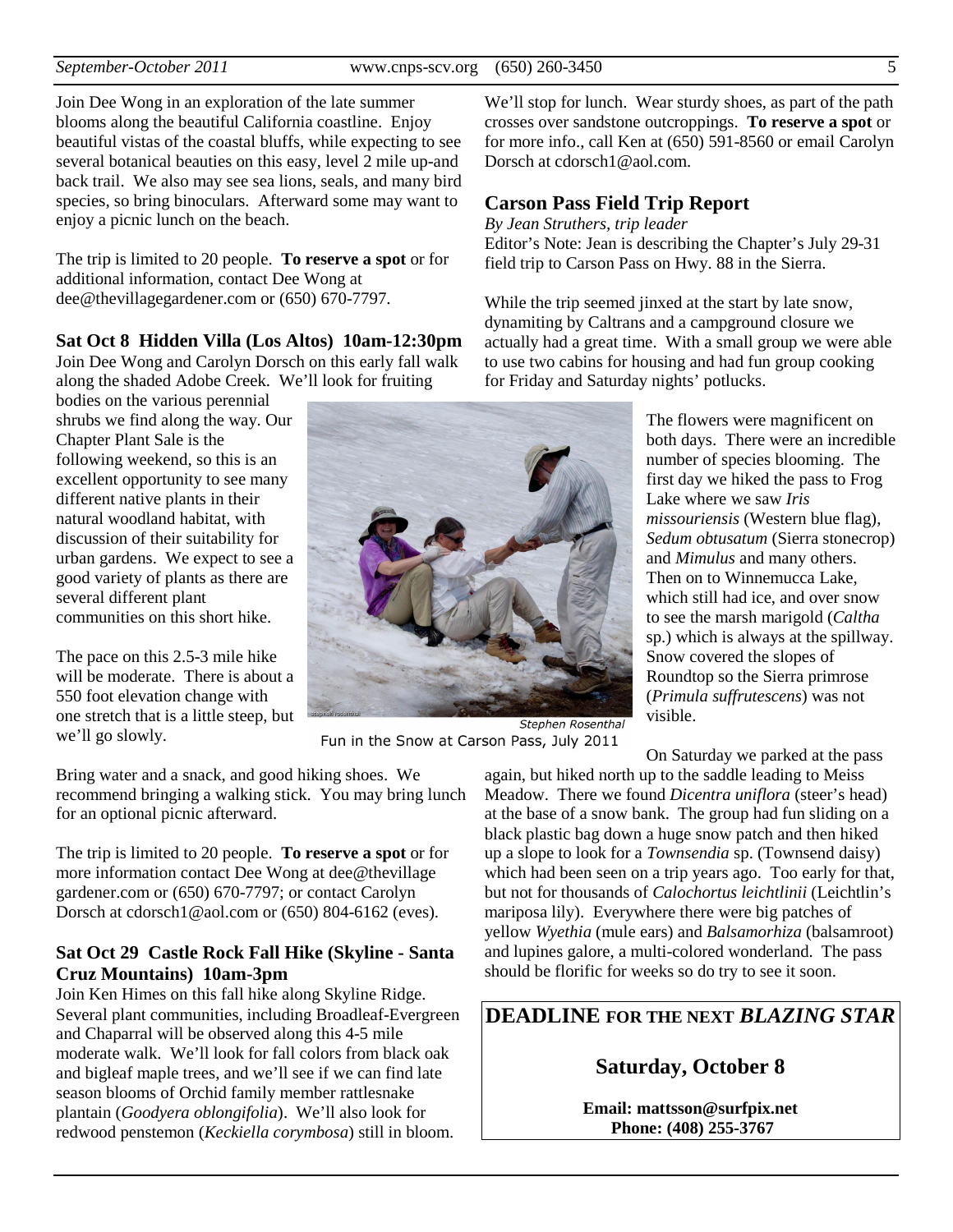Join Dee Wong in an exploration of the late summer blooms along the beautiful California coastline. Enjoy beautiful vistas of the coastal bluffs, while expecting to see several botanical beauties on this easy, level 2 mile up-and back trail. We also may see sea lions, seals, and many bird species, so bring binoculars. Afterward some may want to enjoy a picnic lunch on the beach.

The trip is limited to 20 people. **To reserve a spot** or for additional information, contact Dee Wong at dee@thevillagegardener.com or (650) 670-7797.

#### **Sat Oct 8 Hidden Villa (Los Altos) 10am-12:30pm**

Join Dee Wong and Carolyn Dorsch on this early fall walk along the shaded Adobe Creek. We'll look for fruiting

bodies on the various perennial shrubs we find along the way. Our Chapter Plant Sale is the following weekend, so this is an excellent opportunity to see many different native plants in their natural woodland habitat, with discussion of their suitability for urban gardens. We expect to see a good variety of plants as there are several different plant communities on this short hike.

The pace on this 2.5-3 mile hike will be moderate. There is about a 550 foot elevation change with one stretch that is a little steep, but we'll go slowly.

Bring water and a snack, and good hiking shoes. We recommend bringing a walking stick. You may bring lunch for an optional picnic afterward.

The trip is limited to 20 people. **To reserve a spot** or for more information contact Dee Wong at dee@thevillage gardener.com or (650) 670-7797; or contact Carolyn Dorsch at cdorsch1@aol.com or (650) 804-6162 (eves).

#### **Sat Oct 29 Castle Rock Fall Hike (Skyline - Santa Cruz Mountains) 10am-3pm**

Join Ken Himes on this fall hike along Skyline Ridge. Several plant communities, including Broadleaf-Evergreen and Chaparral will be observed along this 4-5 mile moderate walk. We'll look for fall colors from black oak and bigleaf maple trees, and we'll see if we can find late season blooms of Orchid family member rattlesnake plantain (*Goodyera oblongifolia*). We'll also look for redwood penstemon (*Keckiella corymbosa*) still in bloom.

We'll stop for lunch. Wear sturdy shoes, as part of the path crosses over sandstone outcroppings. **To reserve a spot** or for more info., call Ken at (650) 591-8560 or email Carolyn Dorsch at cdorsch1@aol.com.

#### **Carson Pass Field Trip Report**

*By Jean Struthers, trip leader*  Editor's Note: Jean is describing the Chapter's July 29-31 field trip to Carson Pass on Hwy. 88 in the Sierra.

While the trip seemed jinxed at the start by late snow, dynamiting by Caltrans and a campground closure we actually had a great time. With a small group we were able to use two cabins for housing and had fun group cooking for Friday and Saturday nights' potlucks.

> The flowers were magnificent on both days. There were an incredible number of species blooming. The first day we hiked the pass to Frog Lake where we saw *Iris missouriensis* (Western blue flag), *Sedum obtusatum* (Sierra stonecrop) and *Mimulus* and many others. Then on to Winnemucca Lake, which still had ice, and over snow to see the marsh marigold (*Caltha* sp.) which is always at the spillway. Snow covered the slopes of Roundtop so the Sierra primrose (*Primula suffrutescens*) was not visible.

On Saturday we parked at the pass

Fun in the Snow at Carson Pass, July 2011

again, but hiked north up to the saddle leading to Meiss Meadow. There we found *Dicentra uniflora* (steer's head) at the base of a snow bank. The group had fun sliding on a black plastic bag down a huge snow patch and then hiked up a slope to look for a *Townsendia* sp. (Townsend daisy) which had been seen on a trip years ago. Too early for that, but not for thousands of *Calochortus leichtlinii* (Leichtlin's mariposa lily). Everywhere there were big patches of yellow *Wyethia* (mule ears) and *Balsamorhiza* (balsamroot) and lupines galore, a multi-colored wonderland. The pass should be florific for weeks so do try to see it soon.

## **DEADLINE FOR THE NEXT** *BLAZING STAR*

## **Saturday, October 8**

**Email: mattsson@surfpix.net Phone: (408) 255-3767**

**Stephen Rosenthal**